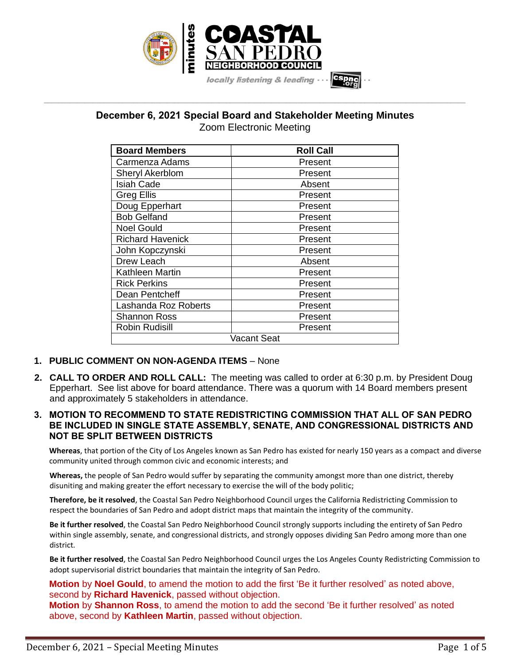

**December 6, 2021 Special Board and Stakeholder Meeting Minutes** Zoom Electronic Meeting

**\_\_\_\_\_\_\_\_\_\_\_\_\_\_\_\_\_\_\_\_\_\_\_\_\_\_\_\_\_\_\_\_\_\_\_\_\_\_\_\_\_\_\_\_\_\_\_\_\_\_\_\_\_\_\_\_\_\_\_\_\_\_\_\_\_\_\_\_\_\_\_\_\_\_\_\_\_\_\_\_\_\_\_\_\_\_\_\_\_\_\_\_\_\_\_\_\_\_\_\_\_\_\_\_\_\_\_\_\_\_\_\_\_**

| <b>Board Members</b>    | <b>Roll Call</b> |
|-------------------------|------------------|
| Carmenza Adams          | Present          |
| Sheryl Akerblom         | Present          |
| Isiah Cade              | Absent           |
| <b>Greg Ellis</b>       | Present          |
| Doug Epperhart          | Present          |
| <b>Bob Gelfand</b>      | Present          |
| <b>Noel Gould</b>       | Present          |
| <b>Richard Havenick</b> | Present          |
| John Kopczynski         | Present          |
| Drew Leach              | Absent           |
| Kathleen Martin         | Present          |
| <b>Rick Perkins</b>     | Present          |
| Dean Pentcheff          | Present          |
| Lashanda Roz Roberts    | Present          |
| Shannon Ross            | Present          |
| Robin Rudisill          | Present          |
| Vacant Seat             |                  |

## **1. PUBLIC COMMENT ON NON-AGENDA ITEMS** – None

- **2. CALL TO ORDER AND ROLL CALL:** The meeting was called to order at 6:30 p.m. by President Doug Epperhart. See list above for board attendance. There was a quorum with 14 Board members present and approximately 5 stakeholders in attendance.
- **3. MOTION TO RECOMMEND TO STATE REDISTRICTING COMMISSION THAT ALL OF SAN PEDRO BE INCLUDED IN SINGLE STATE ASSEMBLY, SENATE, AND CONGRESSIONAL DISTRICTS AND NOT BE SPLIT BETWEEN DISTRICTS**

**Whereas**, that portion of the City of Los Angeles known as San Pedro has existed for nearly 150 years as a compact and diverse community united through common civic and economic interests; and

**Whereas,** the people of San Pedro would suffer by separating the community amongst more than one district, thereby disuniting and making greater the effort necessary to exercise the will of the body politic;

**Therefore, be it resolved**, the Coastal San Pedro Neighborhood Council urges the California Redistricting Commission to respect the boundaries of San Pedro and adopt district maps that maintain the integrity of the community.

**Be it further resolved**, the Coastal San Pedro Neighborhood Council strongly supports including the entirety of San Pedro within single assembly, senate, and congressional districts, and strongly opposes dividing San Pedro among more than one district.

**Be it further resolved**, the Coastal San Pedro Neighborhood Council urges the Los Angeles County Redistricting Commission to adopt supervisorial district boundaries that maintain the integrity of San Pedro.

**Motion** by **Noel Gould**, to amend the motion to add the first 'Be it further resolved' as noted above, second by **Richard Havenick**, passed without objection.

**Motion** by **Shannon Ross**, to amend the motion to add the second 'Be it further resolved' as noted above, second by **Kathleen Martin**, passed without objection.